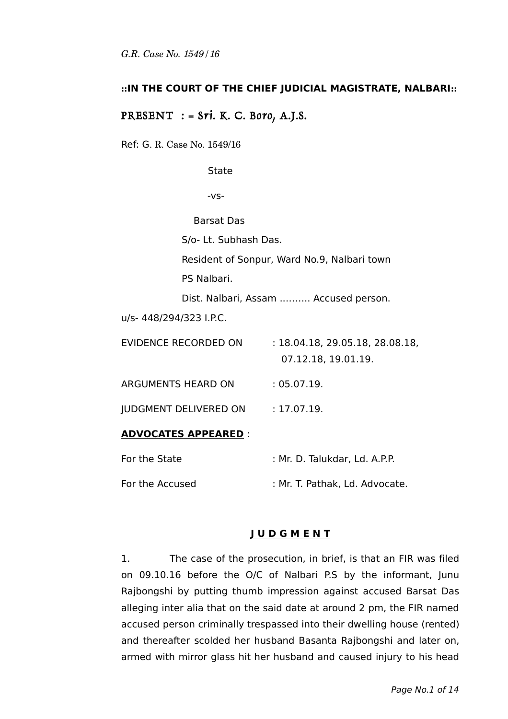### **::IN THE COURT OF THE CHIEF JUDICIAL MAGISTRATE, NALBARI::**

## PRESENT : =  $Sri.$  K. C. Boro, A.J.S.

Ref: G. R. Case No. 1549/16

**State** 

-vs-

Barsat Das

S/o- Lt. Subhash Das.

Resident of Sonpur, Ward No.9, Nalbari town

PS Nalbari.

Dist. Nalbari, Assam ..…….. Accused person.

u/s- 448/294/323 I.P.C.

| EVIDENCE RECORDED ON         | : 18.04.18, 29.05.18, 28.08.18, |
|------------------------------|---------------------------------|
|                              | 07.12.18, 19.01.19.             |
| ARGUMENTS HEARD ON           | :05.07.19.                      |
| <b>JUDGMENT DELIVERED ON</b> | : 17.07.19.                     |
| <b>ADVOCATES APPEARED :</b>  |                                 |
|                              |                                 |

| For the State   | : Mr. D. Talukdar, Ld. A.P.P.  |
|-----------------|--------------------------------|
| For the Accused | : Mr. T. Pathak, Ld. Advocate. |

#### **J U D G M E N T**

1. The case of the prosecution, in brief, is that an FIR was filed on 09.10.16 before the O/C of Nalbari P.S by the informant, Junu Rajbongshi by putting thumb impression against accused Barsat Das alleging inter alia that on the said date at around 2 pm, the FIR named accused person criminally trespassed into their dwelling house (rented) and thereafter scolded her husband Basanta Rajbongshi and later on, armed with mirror glass hit her husband and caused injury to his head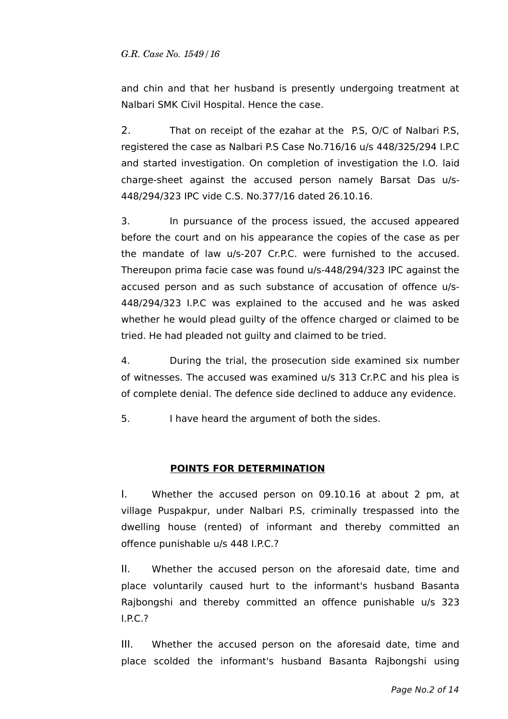and chin and that her husband is presently undergoing treatment at Nalbari SMK Civil Hospital. Hence the case.

2. That on receipt of the ezahar at the P.S, O/C of Nalbari P.S, registered the case as Nalbari P.S Case No.716/16 u/s 448/325/294 I.P.C and started investigation. On completion of investigation the I.O. laid charge-sheet against the accused person namely Barsat Das u/s-448/294/323 IPC vide C.S. No.377/16 dated 26.10.16.

3. In pursuance of the process issued, the accused appeared before the court and on his appearance the copies of the case as per the mandate of law u/s-207 Cr.P.C. were furnished to the accused. Thereupon prima facie case was found u/s-448/294/323 IPC against the accused person and as such substance of accusation of offence u/s-448/294/323 I.P.C was explained to the accused and he was asked whether he would plead guilty of the offence charged or claimed to be tried. He had pleaded not guilty and claimed to be tried.

4. During the trial, the prosecution side examined six number of witnesses. The accused was examined u/s 313 Cr.P.C and his plea is of complete denial. The defence side declined to adduce any evidence.

5. I have heard the argument of both the sides.

## **POINTS FOR DETERMINATION**

I. Whether the accused person on 09.10.16 at about 2 pm, at village Puspakpur, under Nalbari P.S, criminally trespassed into the dwelling house (rented) of informant and thereby committed an offence punishable u/s 448 I.P.C.?

II. Whether the accused person on the aforesaid date, time and place voluntarily caused hurt to the informant's husband Basanta Rajbongshi and thereby committed an offence punishable u/s 323 I.P.C.?

III. Whether the accused person on the aforesaid date, time and place scolded the informant's husband Basanta Rajbongshi using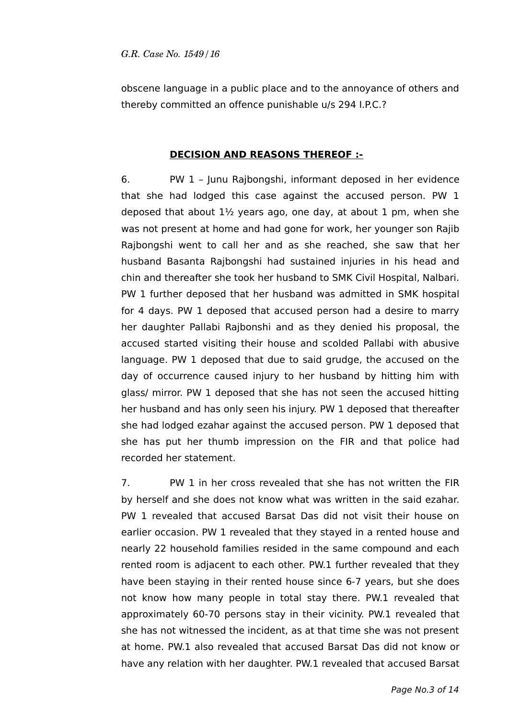obscene language in a public place and to the annoyance of others and thereby committed an offence punishable u/s 294 I.P.C.?

### **DECISION AND REASONS THEREOF :-**

6. PW 1 – Junu Rajbongshi, informant deposed in her evidence that she had lodged this case against the accused person. PW 1 deposed that about  $1\frac{1}{2}$  years ago, one day, at about 1 pm, when she was not present at home and had gone for work, her younger son Rajib Rajbongshi went to call her and as she reached, she saw that her husband Basanta Rajbongshi had sustained injuries in his head and chin and thereafter she took her husband to SMK Civil Hospital, Nalbari. PW 1 further deposed that her husband was admitted in SMK hospital for 4 days. PW 1 deposed that accused person had a desire to marry her daughter Pallabi Rajbonshi and as they denied his proposal, the accused started visiting their house and scolded Pallabi with abusive language. PW 1 deposed that due to said grudge, the accused on the day of occurrence caused injury to her husband by hitting him with glass/ mirror. PW 1 deposed that she has not seen the accused hitting her husband and has only seen his injury. PW 1 deposed that thereafter she had lodged ezahar against the accused person. PW 1 deposed that she has put her thumb impression on the FIR and that police had recorded her statement.

7. PW 1 in her cross revealed that she has not written the FIR by herself and she does not know what was written in the said ezahar. PW 1 revealed that accused Barsat Das did not visit their house on earlier occasion. PW 1 revealed that they stayed in a rented house and nearly 22 household families resided in the same compound and each rented room is adjacent to each other. PW.1 further revealed that they have been staying in their rented house since 6-7 years, but she does not know how many people in total stay there. PW.1 revealed that approximately 60-70 persons stay in their vicinity. PW.1 revealed that she has not witnessed the incident, as at that time she was not present at home. PW.1 also revealed that accused Barsat Das did not know or have any relation with her daughter. PW.1 revealed that accused Barsat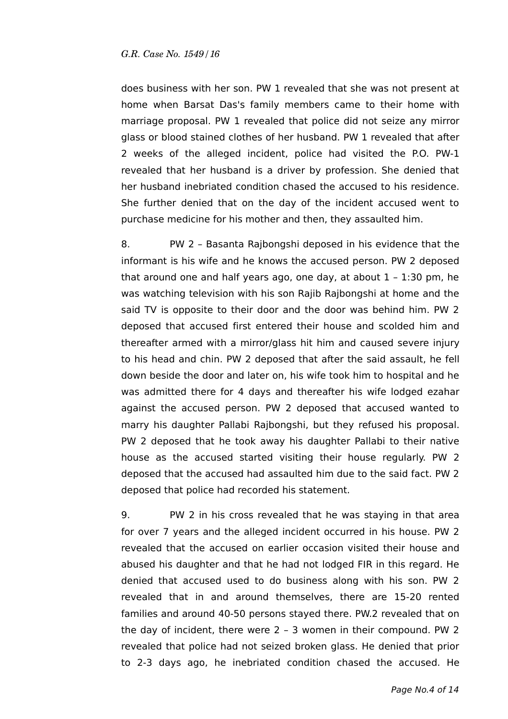does business with her son. PW 1 revealed that she was not present at home when Barsat Das's family members came to their home with marriage proposal. PW 1 revealed that police did not seize any mirror glass or blood stained clothes of her husband. PW 1 revealed that after 2 weeks of the alleged incident, police had visited the P.O. PW-1 revealed that her husband is a driver by profession. She denied that her husband inebriated condition chased the accused to his residence. She further denied that on the day of the incident accused went to purchase medicine for his mother and then, they assaulted him.

8. PW 2 – Basanta Rajbongshi deposed in his evidence that the informant is his wife and he knows the accused person. PW 2 deposed that around one and half years ago, one day, at about  $1 - 1:30$  pm, he was watching television with his son Rajib Rajbongshi at home and the said TV is opposite to their door and the door was behind him. PW 2 deposed that accused first entered their house and scolded him and thereafter armed with a mirror/glass hit him and caused severe injury to his head and chin. PW 2 deposed that after the said assault, he fell down beside the door and later on, his wife took him to hospital and he was admitted there for 4 days and thereafter his wife lodged ezahar against the accused person. PW 2 deposed that accused wanted to marry his daughter Pallabi Rajbongshi, but they refused his proposal. PW 2 deposed that he took away his daughter Pallabi to their native house as the accused started visiting their house regularly. PW 2 deposed that the accused had assaulted him due to the said fact. PW 2 deposed that police had recorded his statement.

9. PW 2 in his cross revealed that he was staying in that area for over 7 years and the alleged incident occurred in his house. PW 2 revealed that the accused on earlier occasion visited their house and abused his daughter and that he had not lodged FIR in this regard. He denied that accused used to do business along with his son. PW 2 revealed that in and around themselves, there are 15-20 rented families and around 40-50 persons stayed there. PW.2 revealed that on the day of incident, there were 2 – 3 women in their compound. PW 2 revealed that police had not seized broken glass. He denied that prior to 2-3 days ago, he inebriated condition chased the accused. He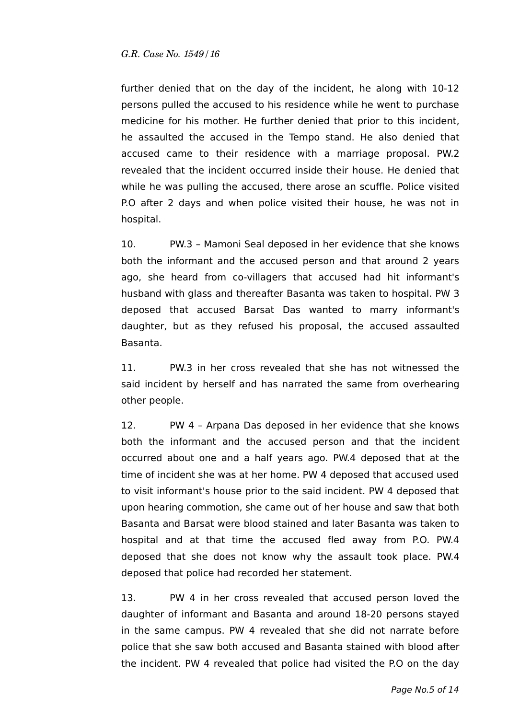further denied that on the day of the incident, he along with 10-12 persons pulled the accused to his residence while he went to purchase medicine for his mother. He further denied that prior to this incident, he assaulted the accused in the Tempo stand. He also denied that accused came to their residence with a marriage proposal. PW.2 revealed that the incident occurred inside their house. He denied that while he was pulling the accused, there arose an scuffle. Police visited P.O after 2 days and when police visited their house, he was not in hospital.

10. PW.3 – Mamoni Seal deposed in her evidence that she knows both the informant and the accused person and that around 2 years ago, she heard from co-villagers that accused had hit informant's husband with glass and thereafter Basanta was taken to hospital. PW 3 deposed that accused Barsat Das wanted to marry informant's daughter, but as they refused his proposal, the accused assaulted Basanta.

11. PW.3 in her cross revealed that she has not witnessed the said incident by herself and has narrated the same from overhearing other people.

12. PW 4 – Arpana Das deposed in her evidence that she knows both the informant and the accused person and that the incident occurred about one and a half years ago. PW.4 deposed that at the time of incident she was at her home. PW 4 deposed that accused used to visit informant's house prior to the said incident. PW 4 deposed that upon hearing commotion, she came out of her house and saw that both Basanta and Barsat were blood stained and later Basanta was taken to hospital and at that time the accused fled away from P.O. PW.4 deposed that she does not know why the assault took place. PW.4 deposed that police had recorded her statement.

13. PW 4 in her cross revealed that accused person loved the daughter of informant and Basanta and around 18-20 persons stayed in the same campus. PW 4 revealed that she did not narrate before police that she saw both accused and Basanta stained with blood after the incident. PW 4 revealed that police had visited the P.O on the day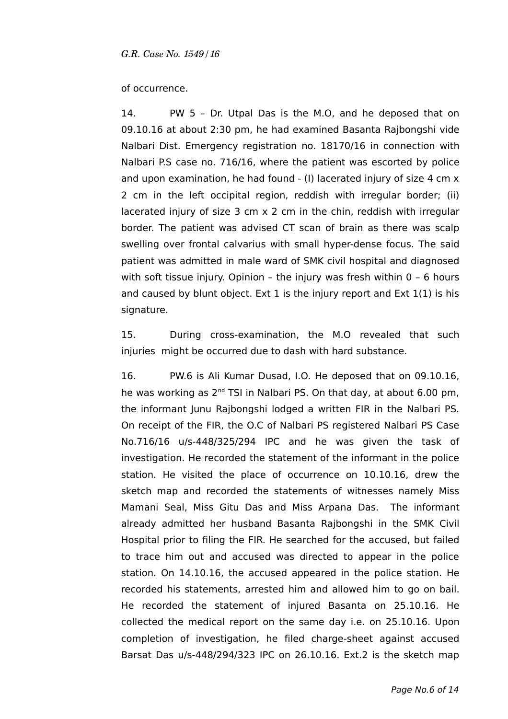#### of occurrence.

14. PW 5 – Dr. Utpal Das is the M.O, and he deposed that on 09.10.16 at about 2:30 pm, he had examined Basanta Rajbongshi vide Nalbari Dist. Emergency registration no. 18170/16 in connection with Nalbari P.S case no. 716/16, where the patient was escorted by police and upon examination, he had found - (I) lacerated injury of size 4 cm x 2 cm in the left occipital region, reddish with irregular border; (ii) lacerated injury of size 3 cm x 2 cm in the chin, reddish with irregular border. The patient was advised CT scan of brain as there was scalp swelling over frontal calvarius with small hyper-dense focus. The said patient was admitted in male ward of SMK civil hospital and diagnosed with soft tissue injury. Opinion - the injury was fresh within 0 - 6 hours and caused by blunt object. Ext 1 is the injury report and Ext  $1(1)$  is his signature.

15. During cross-examination, the M.O revealed that such injuries might be occurred due to dash with hard substance.

16. PW.6 is Ali Kumar Dusad, I.O. He deposed that on 09.10.16, he was working as 2<sup>nd</sup> TSI in Nalbari PS. On that day, at about 6.00 pm, the informant Junu Rajbongshi lodged a written FIR in the Nalbari PS. On receipt of the FIR, the O.C of Nalbari PS registered Nalbari PS Case No.716/16 u/s-448/325/294 IPC and he was given the task of investigation. He recorded the statement of the informant in the police station. He visited the place of occurrence on 10.10.16, drew the sketch map and recorded the statements of witnesses namely Miss Mamani Seal, Miss Gitu Das and Miss Arpana Das. The informant already admitted her husband Basanta Rajbongshi in the SMK Civil Hospital prior to filing the FIR. He searched for the accused, but failed to trace him out and accused was directed to appear in the police station. On 14.10.16, the accused appeared in the police station. He recorded his statements, arrested him and allowed him to go on bail. He recorded the statement of injured Basanta on 25.10.16. He collected the medical report on the same day i.e. on 25.10.16. Upon completion of investigation, he filed charge-sheet against accused Barsat Das u/s-448/294/323 IPC on 26.10.16. Ext.2 is the sketch map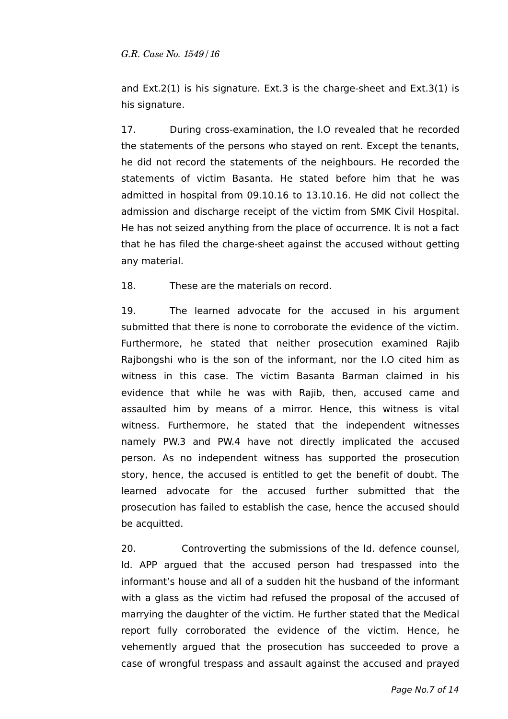and Ext.2(1) is his signature. Ext.3 is the charge-sheet and Ext.3(1) is his signature.

17. During cross-examination, the I.O revealed that he recorded the statements of the persons who stayed on rent. Except the tenants, he did not record the statements of the neighbours. He recorded the statements of victim Basanta. He stated before him that he was admitted in hospital from 09.10.16 to 13.10.16. He did not collect the admission and discharge receipt of the victim from SMK Civil Hospital. He has not seized anything from the place of occurrence. It is not a fact that he has filed the charge-sheet against the accused without getting any material.

18. These are the materials on record.

19. The learned advocate for the accused in his argument submitted that there is none to corroborate the evidence of the victim. Furthermore, he stated that neither prosecution examined Rajib Rajbongshi who is the son of the informant, nor the I.O cited him as witness in this case. The victim Basanta Barman claimed in his evidence that while he was with Rajib, then, accused came and assaulted him by means of a mirror. Hence, this witness is vital witness. Furthermore, he stated that the independent witnesses namely PW.3 and PW.4 have not directly implicated the accused person. As no independent witness has supported the prosecution story, hence, the accused is entitled to get the benefit of doubt. The learned advocate for the accused further submitted that the prosecution has failed to establish the case, hence the accused should be acquitted.

20. Controverting the submissions of the ld. defence counsel, ld. APP argued that the accused person had trespassed into the informant's house and all of a sudden hit the husband of the informant with a glass as the victim had refused the proposal of the accused of marrying the daughter of the victim. He further stated that the Medical report fully corroborated the evidence of the victim. Hence, he vehemently argued that the prosecution has succeeded to prove a case of wrongful trespass and assault against the accused and prayed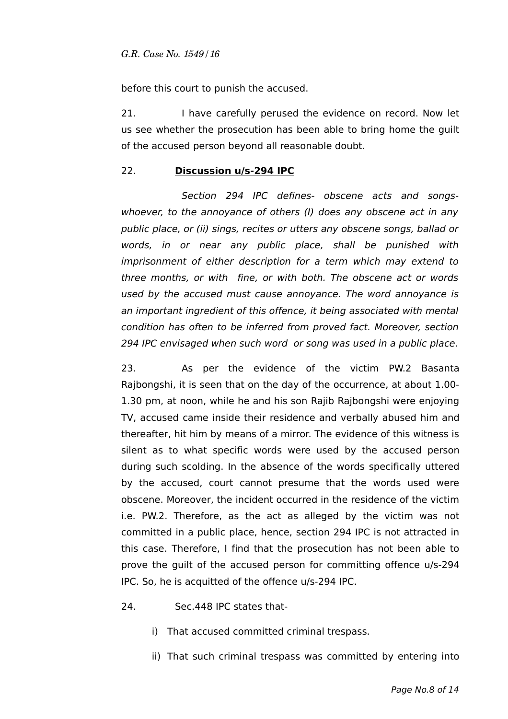before this court to punish the accused.

21. I have carefully perused the evidence on record. Now let us see whether the prosecution has been able to bring home the guilt of the accused person beyond all reasonable doubt.

### 22. **Discussion u/s-294 IPC**

Section 294 IPC defines- obscene acts and songswhoever, to the annoyance of others (I) does any obscene act in any public place, or (ii) sings, recites or utters any obscene songs, ballad or words, in or near any public place, shall be punished with imprisonment of either description for a term which may extend to three months, or with fine, or with both. The obscene act or words used by the accused must cause annoyance. The word annoyance is an important ingredient of this offence, it being associated with mental condition has often to be inferred from proved fact. Moreover, section 294 IPC envisaged when such word or song was used in a public place.

23. As per the evidence of the victim PW.2 Basanta Rajbongshi, it is seen that on the day of the occurrence, at about 1.00- 1.30 pm, at noon, while he and his son Rajib Rajbongshi were enjoying TV, accused came inside their residence and verbally abused him and thereafter, hit him by means of a mirror. The evidence of this witness is silent as to what specific words were used by the accused person during such scolding. In the absence of the words specifically uttered by the accused, court cannot presume that the words used were obscene. Moreover, the incident occurred in the residence of the victim i.e. PW.2. Therefore, as the act as alleged by the victim was not committed in a public place, hence, section 294 IPC is not attracted in this case. Therefore, I find that the prosecution has not been able to prove the guilt of the accused person for committing offence u/s-294 IPC. So, he is acquitted of the offence u/s-294 IPC.

- 24. Sec.448 IPC states that
	- i) That accused committed criminal trespass.
	- ii) That such criminal trespass was committed by entering into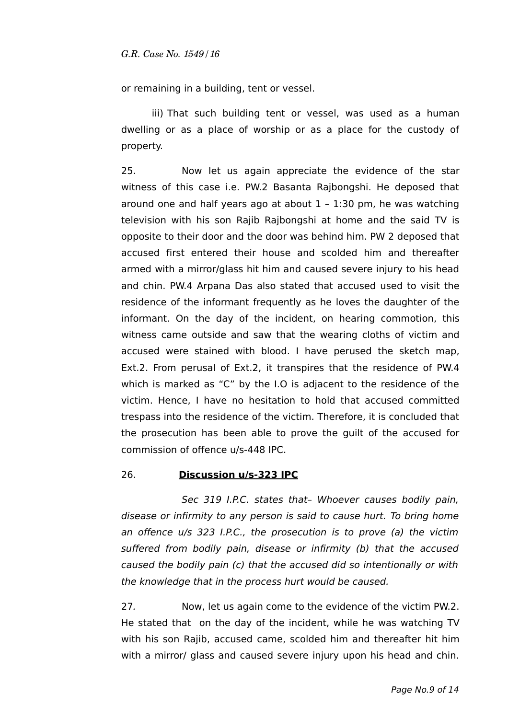or remaining in a building, tent or vessel.

iii) That such building tent or vessel, was used as a human dwelling or as a place of worship or as a place for the custody of property.

25. Now let us again appreciate the evidence of the star witness of this case i.e. PW.2 Basanta Rajbongshi. He deposed that around one and half years ago at about  $1 - 1:30$  pm, he was watching television with his son Rajib Rajbongshi at home and the said TV is opposite to their door and the door was behind him. PW 2 deposed that accused first entered their house and scolded him and thereafter armed with a mirror/glass hit him and caused severe injury to his head and chin. PW.4 Arpana Das also stated that accused used to visit the residence of the informant frequently as he loves the daughter of the informant. On the day of the incident, on hearing commotion, this witness came outside and saw that the wearing cloths of victim and accused were stained with blood. I have perused the sketch map, Ext.2. From perusal of Ext.2, it transpires that the residence of PW.4 which is marked as "C" by the I.O is adjacent to the residence of the victim. Hence, I have no hesitation to hold that accused committed trespass into the residence of the victim. Therefore, it is concluded that the prosecution has been able to prove the guilt of the accused for commission of offence u/s-448 IPC.

#### 26. **Discussion u/s-323 IPC**

Sec 319 I.P.C. states that- Whoever causes bodily pain, disease or infirmity to any person is said to cause hurt. To bring home an offence u/s 323 I.P.C., the prosecution is to prove (a) the victim suffered from bodily pain, disease or infirmity (b) that the accused caused the bodily pain (c) that the accused did so intentionally or with the knowledge that in the process hurt would be caused.

27. Now, let us again come to the evidence of the victim PW.2. He stated that on the day of the incident, while he was watching TV with his son Rajib, accused came, scolded him and thereafter hit him with a mirror/ glass and caused severe injury upon his head and chin.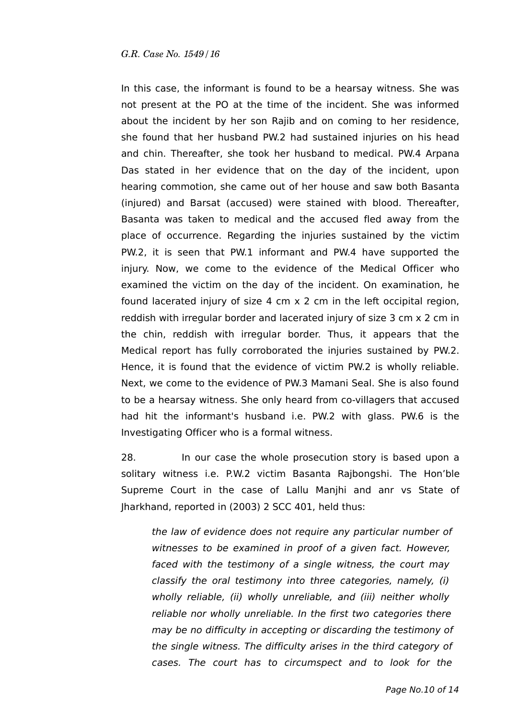In this case, the informant is found to be a hearsay witness. She was not present at the PO at the time of the incident. She was informed about the incident by her son Rajib and on coming to her residence, she found that her husband PW.2 had sustained injuries on his head and chin. Thereafter, she took her husband to medical. PW.4 Arpana Das stated in her evidence that on the day of the incident, upon hearing commotion, she came out of her house and saw both Basanta (injured) and Barsat (accused) were stained with blood. Thereafter, Basanta was taken to medical and the accused fled away from the place of occurrence. Regarding the injuries sustained by the victim PW.2, it is seen that PW.1 informant and PW.4 have supported the injury. Now, we come to the evidence of the Medical Officer who examined the victim on the day of the incident. On examination, he found lacerated injury of size 4 cm x 2 cm in the left occipital region, reddish with irregular border and lacerated injury of size 3 cm x 2 cm in the chin, reddish with irregular border. Thus, it appears that the Medical report has fully corroborated the injuries sustained by PW.2. Hence, it is found that the evidence of victim PW.2 is wholly reliable. Next, we come to the evidence of PW.3 Mamani Seal. She is also found to be a hearsay witness. She only heard from co-villagers that accused had hit the informant's husband i.e. PW.2 with glass. PW.6 is the Investigating Officer who is a formal witness.

28. In our case the whole prosecution story is based upon a solitary witness i.e. P.W.2 victim Basanta Rajbongshi. The Hon'ble Supreme Court in the case of Lallu Manjhi and anr vs State of Jharkhand, reported in (2003) 2 SCC 401, held thus:

the law of evidence does not require any particular number of witnesses to be examined in proof of a given fact. However, faced with the testimony of a single witness, the court may classify the oral testimony into three categories, namely, (i) wholly reliable, (ii) wholly unreliable, and (iii) neither wholly reliable nor wholly unreliable. In the first two categories there may be no difficulty in accepting or discarding the testimony of the single witness. The difficulty arises in the third category of cases. The court has to circumspect and to look for the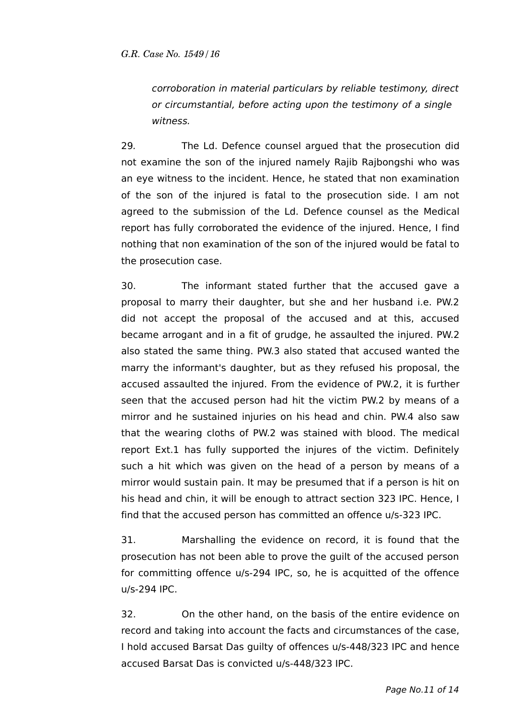corroboration in material particulars by reliable testimony, direct or circumstantial, before acting upon the testimony of a single witness.

29. The Ld. Defence counsel argued that the prosecution did not examine the son of the injured namely Rajib Rajbongshi who was an eye witness to the incident. Hence, he stated that non examination of the son of the injured is fatal to the prosecution side. I am not agreed to the submission of the Ld. Defence counsel as the Medical report has fully corroborated the evidence of the injured. Hence, I find nothing that non examination of the son of the injured would be fatal to the prosecution case.

30. The informant stated further that the accused gave a proposal to marry their daughter, but she and her husband i.e. PW.2 did not accept the proposal of the accused and at this, accused became arrogant and in a fit of grudge, he assaulted the injured. PW.2 also stated the same thing. PW.3 also stated that accused wanted the marry the informant's daughter, but as they refused his proposal, the accused assaulted the injured. From the evidence of PW.2, it is further seen that the accused person had hit the victim PW.2 by means of a mirror and he sustained injuries on his head and chin. PW.4 also saw that the wearing cloths of PW.2 was stained with blood. The medical report Ext.1 has fully supported the injures of the victim. Definitely such a hit which was given on the head of a person by means of a mirror would sustain pain. It may be presumed that if a person is hit on his head and chin, it will be enough to attract section 323 IPC. Hence, I find that the accused person has committed an offence u/s-323 IPC.

31. Marshalling the evidence on record, it is found that the prosecution has not been able to prove the guilt of the accused person for committing offence u/s-294 IPC, so, he is acquitted of the offence u/s-294 IPC.

32. On the other hand, on the basis of the entire evidence on record and taking into account the facts and circumstances of the case, I hold accused Barsat Das guilty of offences u/s-448/323 IPC and hence accused Barsat Das is convicted u/s-448/323 IPC.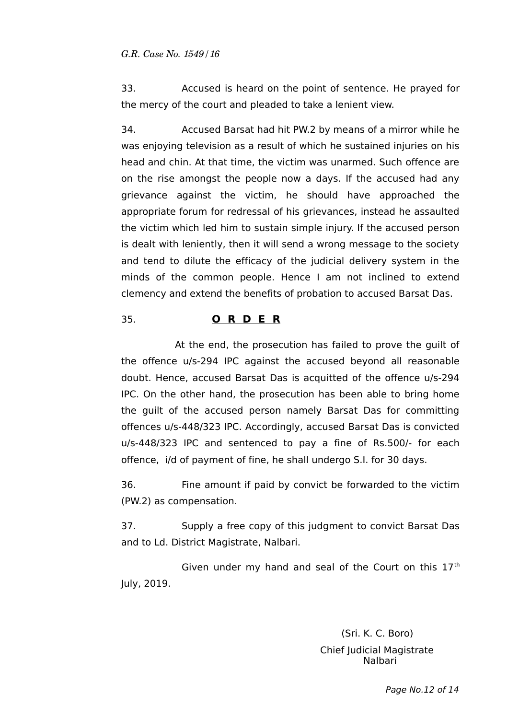33. Accused is heard on the point of sentence. He prayed for the mercy of the court and pleaded to take a lenient view.

34. Accused Barsat had hit PW.2 by means of a mirror while he was enjoying television as a result of which he sustained injuries on his head and chin. At that time, the victim was unarmed. Such offence are on the rise amongst the people now a days. If the accused had any grievance against the victim, he should have approached the appropriate forum for redressal of his grievances, instead he assaulted the victim which led him to sustain simple injury. If the accused person is dealt with leniently, then it will send a wrong message to the society and tend to dilute the efficacy of the judicial delivery system in the minds of the common people. Hence I am not inclined to extend clemency and extend the benefits of probation to accused Barsat Das.

# 35. **O R D E R**

At the end, the prosecution has failed to prove the guilt of the offence u/s-294 IPC against the accused beyond all reasonable doubt. Hence, accused Barsat Das is acquitted of the offence u/s-294 IPC. On the other hand, the prosecution has been able to bring home the guilt of the accused person namely Barsat Das for committing offences u/s-448/323 IPC. Accordingly, accused Barsat Das is convicted u/s-448/323 IPC and sentenced to pay a fine of Rs.500/- for each offence, i/d of payment of fine, he shall undergo S.I. for 30 days.

36. Fine amount if paid by convict be forwarded to the victim (PW.2) as compensation.

37. Supply a free copy of this judgment to convict Barsat Das and to Ld. District Magistrate, Nalbari.

Given under my hand and seal of the Court on this  $17<sup>th</sup>$ July, 2019.

> (Sri. K. C. Boro) Chief Judicial Magistrate Nalbari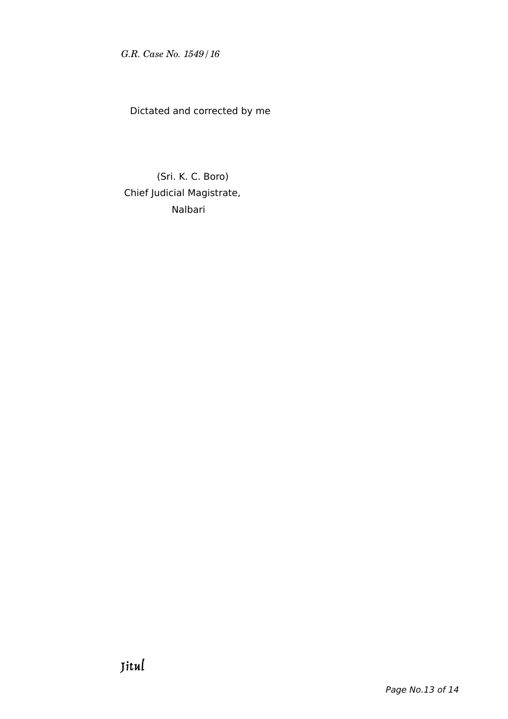Dictated and corrected by me

 (Sri. K. C. Boro) Chief Judicial Magistrate, Nalbari